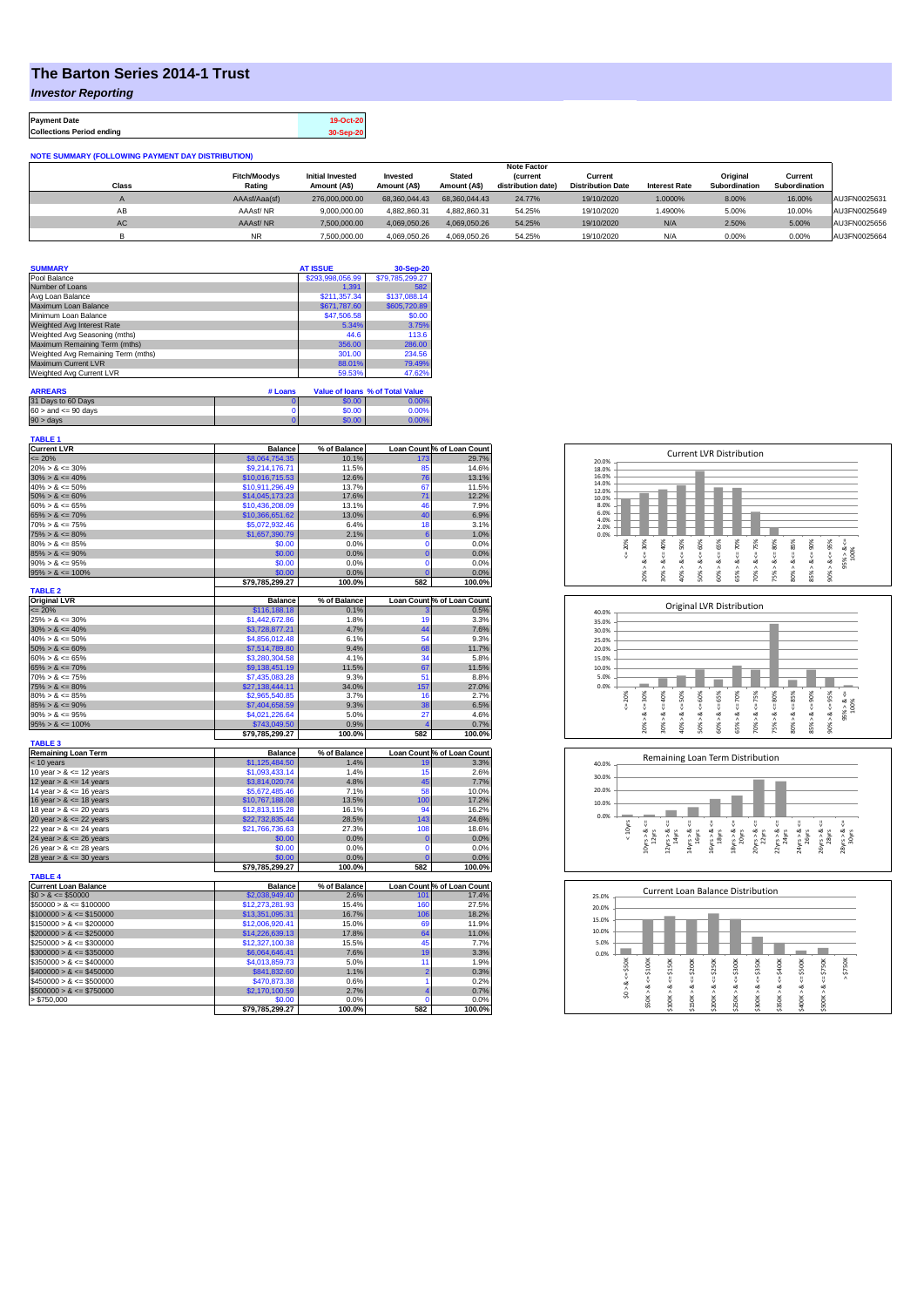## **The Barton Series 2014-1 Trust**

*Investor Reporting*

**Payment Date 19-Oct-20 Collections Period ending 30-Sep-20**

| <b>NOTE SUMMARY (FOLLOWING PAYMENT DAY DISTRIBUTION)</b> |                               |                                         |                          |                               |                                       |                                     |                      |                           |                          |              |
|----------------------------------------------------------|-------------------------------|-----------------------------------------|--------------------------|-------------------------------|---------------------------------------|-------------------------------------|----------------------|---------------------------|--------------------------|--------------|
|                                                          |                               |                                         |                          |                               | <b>Note Factor</b>                    |                                     |                      |                           |                          |              |
| <b>Class</b>                                             | <b>Fitch/Moodvs</b><br>Rating | <b>Initial Invested</b><br>Amount (A\$) | Invested<br>Amount (A\$) | <b>Stated</b><br>Amount (A\$) | <b>(current</b><br>distribution date) | Current<br><b>Distribution Date</b> | <b>Interest Rate</b> | Original<br>Subordination | Current<br>Subordination |              |
|                                                          |                               |                                         |                          |                               |                                       |                                     |                      |                           |                          |              |
|                                                          | AAAsf/Aaa(sf)                 | 276,000,000.00                          | 68.360.044.43            | 68.360.044.43                 | 24.77%                                | 19/10/2020                          | 1.0000%              | 8.00%                     | 16.00%                   | AU3FN0025631 |
| AB                                                       | AAAsf/NR                      | 9.000.000.00                            | 4.882.860.31             | 4.882.860.31                  | 54.25%                                | 19/10/2020                          | .4900%               | 5.00%                     | 10.00%                   | AU3FN0025649 |
| AC                                                       | AAAsf/NR                      | 7.500.000.00                            | 4.069.050.26             | 4.069.050.26                  | 54.25%                                | 19/10/2020                          | N/A                  | 2.50%                     | 5.00%                    | AU3FN0025656 |
|                                                          | <b>NR</b>                     | 7.500.000.00                            | 4.069.050.26             | 4.069.050.26                  | 54.25%                                | 19/10/2020                          | N/A                  | 0.00%                     | 0.00%                    | AU3FN0025664 |

| <b>SUMMARY</b>                     | <b>AT ISSUE</b>  | 30-Sep-20       |
|------------------------------------|------------------|-----------------|
| Pool Balance                       | \$293,998,056.99 | \$79,785,299.27 |
| Number of Loans                    | 1.391            | 582             |
| Avg Loan Balance                   | \$211,357.34     | \$137,088.14    |
| Maximum Loan Balance               | \$671,787.60     | \$605,720.89    |
| Minimum Loan Balance               | \$47,506.58      | \$0.00          |
| Weighted Avg Interest Rate         | 5.34%            | 3.75%           |
| Weighted Avg Seasoning (mths)      | 44.6             | 113.6           |
| Maximum Remaining Term (mths)      | 356.00           | 286.00          |
| Weighted Avg Remaining Term (mths) | 301.00           | 234.56          |
| Maximum Current LVR                | 88.01%           | 79.49%          |
| Weighted Avg Current LVR           | 59.53%           | 47.62%          |

| <b>ARREARS</b>            | # Loans |        | Value of Ioans % of Total Value |
|---------------------------|---------|--------|---------------------------------|
| 31 Days to 60 Days        |         | \$0.00 | 0.00%                           |
| $60 >$ and $\leq 90$ days |         | \$0.00 | 0.00%                           |
| 90 > davs                 |         | \$0.00 | $0.00\%$                        |

| <b>TABLE 1</b>              |                 |              |                         |                            |
|-----------------------------|-----------------|--------------|-------------------------|----------------------------|
| <b>Current LVR</b>          | <b>Balance</b>  | % of Balance |                         | Loan Count % of Loan Count |
| $= 20%$                     | \$8,064,754.35  | 10.1%        | 173                     | 29.7%                      |
| $20\% > 8 \le 30\%$         | \$9,214,176.71  | 11.5%        | 85                      | 14.6%                      |
| $30\% > 8 \le 40\%$         | \$10,016,715.53 | 12.6%        | 76                      | 13.1%                      |
| $40\% > 8 \le 50\%$         | \$10,911,296.49 | 13.7%        | 67                      | 11.5%                      |
| $50\% > 8 \le 60\%$         | \$14,045,173.23 | 17.6%        | 71                      | 12.2%                      |
| $60\% > 8 \le 65\%$         | \$10,436,208.09 | 13.1%        | 46                      | 7.9%                       |
| $65\% > 8 \le 70\%$         | \$10,366,651.62 | 13.0%        | 40                      | 6.9%                       |
| $70\% > 8 \le 75\%$         | \$5,072,932.46  | 6.4%         | 18                      | 3.1%                       |
| $75\% > 8 \le 80\%$         | \$1,657,390.79  | 2.1%         | 6                       | 1.0%                       |
| $80\% > 8 \le 85\%$         | \$0.00          | 0.0%         | $\mathbf 0$             | 0.0%                       |
| $85\% > 8 \le 90\%$         | \$0.00          | 0.0%         | $\overline{0}$          | 0.0%                       |
| $90\% > 8 \le 95\%$         | \$0.00          | 0.0%         | $\mathbf 0$             | 0.0%                       |
| $95\% > 8 \le 100\%$        | \$0.00          | 0.0%         | $\overline{0}$          | 0.0%                       |
|                             | \$79,785,299.27 | 100.0%       | 582                     | 100.0%                     |
| <b>TABLE 2</b>              |                 |              |                         |                            |
| <b>Original LVR</b>         | <b>Balance</b>  | % of Balance |                         | Loan Count % of Loan Count |
| $= 20%$                     | \$116,188.18    | 0.1%         |                         | 0.5%                       |
| $25\% > 8 \le 30\%$         | \$1,442,672.86  | 1.8%         | 19                      | 3.3%                       |
| $30\% > 8 \le 40\%$         | \$3,728,877.21  | 4.7%         | 44                      | 7.6%                       |
| $40\% > 8 \le 50\%$         | \$4,856,012.48  | 6.1%         | 54                      | 9.3%                       |
|                             |                 | 9.4%         |                         |                            |
| $50\% > 8 \le 60\%$         | \$7,514,789.80  |              | 68<br>34                | 11.7%                      |
| $60\% > 8 \le 65\%$         | \$3,280,304.58  | 4.1%         |                         | 5.8%                       |
| $65\% > 8 \le 70\%$         | \$9,138,451.19  | 11.5%        | 67                      | 11.5%                      |
| $70\% > 8 \le 75\%$         | \$7,435,083.28  | 9.3%         | 51                      | 8.8%                       |
| $75\% > 8 \le 80\%$         | \$27,138,444.11 | 34.0%        | 157                     | 27.0%                      |
| $80\% > 8 \le 85\%$         | \$2,965,540.85  | 3.7%         | 16                      | 2.7%                       |
| $85\% > 8 \le 90\%$         | \$7,404,658.59  | 9.3%         | 38                      | 6.5%                       |
| $90\% > 8 \le 95\%$         | \$4,021,226.64  | 5.0%         | 27                      | 4.6%                       |
|                             |                 |              | $\overline{\mathbf{4}}$ | 0.7%                       |
| $95\% > 8 \le 100\%$        | \$743,049.50    | 0.9%         |                         |                            |
|                             | \$79,785,299.27 | 100.0%       | 582                     |                            |
| <b>TABLE 3</b>              |                 |              |                         | 100.0%                     |
| <b>Remaining Loan Term</b>  | <b>Balance</b>  | % of Balance |                         | Loan Count % of Loan Count |
| $< 10$ years                | \$1,125,484.50  | 1.4%         | 19                      | 3.3%                       |
| 10 year $> 8 \le 12$ years  | \$1,093,433.14  | 1.4%         | 15                      | 2.6%                       |
| 12 year $> 8 \le 14$ years  | \$3,814,020.74  | 4.8%         | 45                      | 7.7%                       |
| 14 year $> 8 \le 16$ years  | \$5,672,485.46  | 7.1%         | 58                      | 10.0%                      |
| 16 year $> 8 \le 18$ years  | \$10,767,188.08 | 13.5%        | 100                     | 17.2%                      |
| 18 year $> 8 \le 20$ years  | \$12,813,115.28 | 16.1%        | 94                      | 16.2%                      |
| 20 year $> 8 \le 22$ years  | \$22,732,835.44 | 28.5%        | 143                     | 24.6%                      |
| 22 year $> 8 \le 24$ years  | \$21,766,736.63 | 27.3%        | 108                     |                            |
|                             |                 | 0.0%         | $\overline{0}$          | 18.6%                      |
| 24 year $> 8 \le 26$ years  | \$0.00          |              | $\mathbf 0$             | 0.0%                       |
| 26 year $> 8 \le 28$ years  | \$0.00          | 0.0%         |                         | 0.0%                       |
| 28 year $> 8 \le 30$ years  | \$0.00          | 0.0%         | $\overline{0}$          | 0.0%                       |
|                             | \$79,785,299.27 | 100.0%       | 582                     | 100.0%                     |
| <b>TABLE 4</b>              |                 |              |                         |                            |
| <b>Current Loan Balance</b> | <b>Balance</b>  | % of Balance |                         | Loan Count % of Loan Count |
| $$0 > 8 \le $50000$         | \$2,038,949.40  | 2.6%         | 101                     | 17.4%                      |
| $$50000 > 8 \le $100000$    | \$12,273,281.93 | 15.4%        | 160                     | 27.5%                      |
| $$100000 > 8 \le $150000$   | \$13,351,095.31 | 16.7%        | 106                     | 18.2%                      |
| $$150000 > 8 \le $200000$   | \$12,006,920.41 | 15.0%        | 69                      | 11.9%                      |
| $$200000 > 8 \leq $250000$  | \$14,226,639.13 | 17.8%        | 64                      | 11.0%                      |
| $$250000 > 8 \le $300000$   | \$12,327,100.38 | 15.5%        | 45                      | 7.7%                       |
| $$300000 > 8 \leq $350000$  | \$6,064,646.41  | 7.6%         | 19                      | 3.3%                       |
| $$350000 > 8 \le $400000$   | \$4,013,859.73  | 5.0%         | 11                      |                            |
| $$400000 > 8 \leq $450000$  | \$841,832.60    | 1.1%         | $\overline{2}$          | 0.3%                       |
| $$450000 > 8 \leq $500000$  | \$470,873.38    | 0.6%         | 1                       | 1.9%<br>0.2%               |
| $$500000 > 8 \le $750000$   | \$2,170,100.59  | 2.7%         | 4                       | 0.7%                       |
| > \$750,000                 | \$0.00          | 0.0%         | $\Omega$                | 0.0%                       |







| 25.0% |       |        | Current Loan Balance Distribution |         |        |         |        |         |         |         |           |  |
|-------|-------|--------|-----------------------------------|---------|--------|---------|--------|---------|---------|---------|-----------|--|
| 20.0% |       |        |                                   |         |        |         |        |         |         |         |           |  |
| 15.0% |       |        |                                   |         |        |         |        |         |         |         |           |  |
| 10.0% |       |        |                                   |         |        |         |        |         |         |         |           |  |
| 5.0%  |       |        |                                   |         |        |         |        |         |         |         |           |  |
| 0.0%  |       |        |                                   |         |        |         |        |         |         |         |           |  |
|       | \$50K | \$100K | \$150K                            | \$200K  | \$250K | \$300K  | \$350K | \$400K  | \$500K  | \$750K  | \$750K    |  |
|       |       |        |                                   | IJ      |        | ₩       |        |         |         |         | $\lambda$ |  |
|       | ∞     | 8 <    | œ                                 | ಹ       | œ      | ಹ       | œ      | œ       | œ       | œ       |           |  |
|       | ŝ     | \$50K> |                                   |         | ٨      |         | ٨      |         |         |         |           |  |
|       |       |        | \$100K>                           | \$150K> | \$200K | \$250K> | \$300K | \$350K> | \$400K> | \$500K> |           |  |